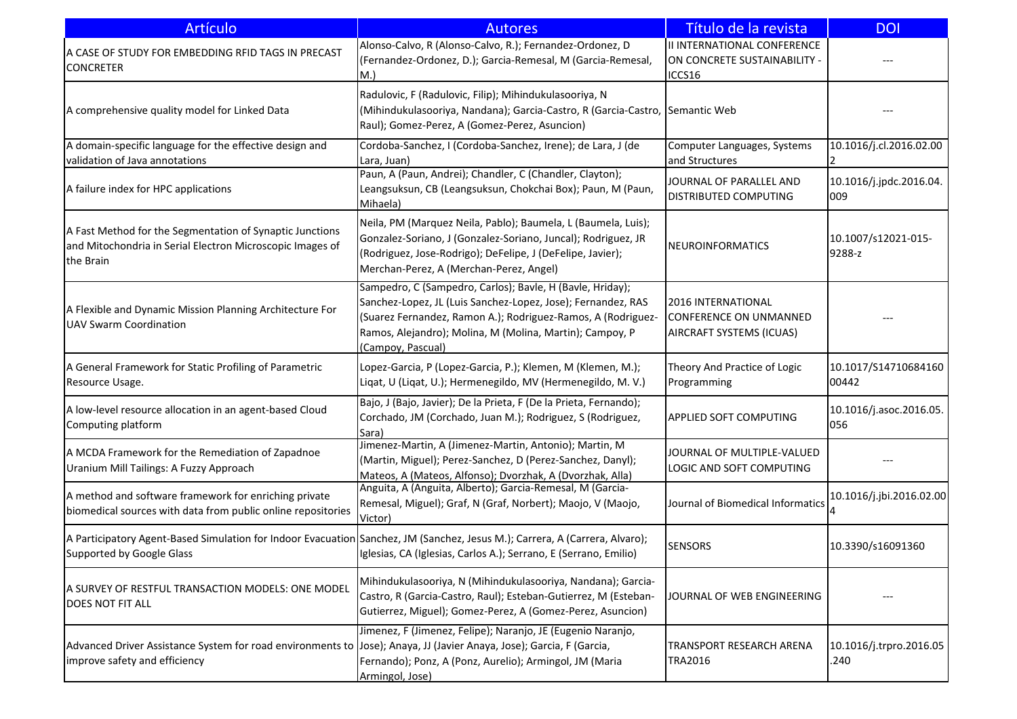| <b>Artículo</b>                                                                                                                                          | <b>Autores</b>                                                                                                                                                                                                                                                             | Título de la revista                                                                   | <b>DOI</b>                      |
|----------------------------------------------------------------------------------------------------------------------------------------------------------|----------------------------------------------------------------------------------------------------------------------------------------------------------------------------------------------------------------------------------------------------------------------------|----------------------------------------------------------------------------------------|---------------------------------|
| A CASE OF STUDY FOR EMBEDDING RFID TAGS IN PRECAST<br><b>CONCRETER</b>                                                                                   | Alonso-Calvo, R (Alonso-Calvo, R.); Fernandez-Ordonez, D<br>(Fernandez-Ordonez, D.); Garcia-Remesal, M (Garcia-Remesal,<br>M.                                                                                                                                              | <b>II INTERNATIONAL CONFERENCE</b><br>ON CONCRETE SUSTAINABILITY -<br>ICCS16           |                                 |
| A comprehensive quality model for Linked Data                                                                                                            | Radulovic, F (Radulovic, Filip); Mihindukulasooriya, N<br>(Mihindukulasooriya, Nandana); Garcia-Castro, R (Garcia-Castro, Semantic Web<br>Raul); Gomez-Perez, A (Gomez-Perez, Asuncion)                                                                                    |                                                                                        |                                 |
| A domain-specific language for the effective design and<br>validation of Java annotations                                                                | Cordoba-Sanchez, I (Cordoba-Sanchez, Irene); de Lara, J (de<br>Lara, Juan)                                                                                                                                                                                                 | Computer Languages, Systems<br>and Structures                                          | 10.1016/j.cl.2016.02.00         |
| A failure index for HPC applications                                                                                                                     | Paun, A (Paun, Andrei); Chandler, C (Chandler, Clayton);<br>Leangsuksun, CB (Leangsuksun, Chokchai Box); Paun, M (Paun,<br>Mihaela)                                                                                                                                        | JOURNAL OF PARALLEL AND<br><b>DISTRIBUTED COMPUTING</b>                                | 10.1016/j.jpdc.2016.04.<br>009  |
| A Fast Method for the Segmentation of Synaptic Junctions<br>and Mitochondria in Serial Electron Microscopic Images of<br>the Brain                       | Neila, PM (Marquez Neila, Pablo); Baumela, L (Baumela, Luis);<br>Gonzalez-Soriano, J (Gonzalez-Soriano, Juncal); Rodriguez, JR<br>(Rodriguez, Jose-Rodrigo); DeFelipe, J (DeFelipe, Javier);<br>Merchan-Perez, A (Merchan-Perez, Angel)                                    | NEUROINFORMATICS                                                                       | 10.1007/s12021-015-<br>9288-z   |
| A Flexible and Dynamic Mission Planning Architecture For<br><b>UAV Swarm Coordination</b>                                                                | Sampedro, C (Sampedro, Carlos); Bavle, H (Bavle, Hriday);<br>Sanchez-Lopez, JL (Luis Sanchez-Lopez, Jose); Fernandez, RAS<br>(Suarez Fernandez, Ramon A.); Rodriguez-Ramos, A (Rodriguez-<br>Ramos, Alejandro); Molina, M (Molina, Martin); Campoy, P<br>(Campoy, Pascual) | 2016 INTERNATIONAL<br><b>CONFERENCE ON UNMANNED</b><br><b>AIRCRAFT SYSTEMS (ICUAS)</b> |                                 |
| A General Framework for Static Profiling of Parametric<br>Resource Usage.                                                                                | Lopez-Garcia, P (Lopez-Garcia, P.); Klemen, M (Klemen, M.);<br>Liqat, U (Liqat, U.); Hermenegildo, MV (Hermenegildo, M. V.)                                                                                                                                                | Theory And Practice of Logic<br>Programming                                            | 10.1017/S14710684160<br>00442   |
| A low-level resource allocation in an agent-based Cloud<br>Computing platform                                                                            | Bajo, J (Bajo, Javier); De la Prieta, F (De la Prieta, Fernando);<br>Corchado, JM (Corchado, Juan M.); Rodriguez, S (Rodriguez,<br>Sara)                                                                                                                                   | <b>APPLIED SOFT COMPUTING</b>                                                          | 10.1016/j.asoc.2016.05.<br>056  |
| A MCDA Framework for the Remediation of Zapadnoe<br>Uranium Mill Tailings: A Fuzzy Approach                                                              | Jimenez-Martin, A (Jimenez-Martin, Antonio); Martin, M<br>(Martin, Miguel); Perez-Sanchez, D (Perez-Sanchez, Danyl);<br>Mateos, A (Mateos, Alfonso); Dvorzhak, A (Dvorzhak, Alla)                                                                                          | JOURNAL OF MULTIPLE-VALUED<br>LOGIC AND SOFT COMPUTING                                 |                                 |
| A method and software framework for enriching private<br>biomedical sources with data from public online repositories                                    | Anguita, A (Anguita, Alberto); Garcia-Remesal, M (Garcia-<br>Remesal, Miguel); Graf, N (Graf, Norbert); Maojo, V (Maojo,<br>Victor)                                                                                                                                        | Journal of Biomedical Informatics                                                      | 10.1016/j.jbi.2016.02.00        |
| A Participatory Agent-Based Simulation for Indoor Evacuation Sanchez, JM (Sanchez, Jesus M.); Carrera, A (Carrera, Alvaro);<br>Supported by Google Glass | Iglesias, CA (Iglesias, Carlos A.); Serrano, E (Serrano, Emilio)                                                                                                                                                                                                           | <b>SENSORS</b>                                                                         | 10.3390/s16091360               |
| A SURVEY OF RESTFUL TRANSACTION MODELS: ONE MODEL<br><b>DOES NOT FIT ALL</b>                                                                             | Mihindukulasooriya, N (Mihindukulasooriya, Nandana); Garcia-<br>Castro, R (Garcia-Castro, Raul); Esteban-Gutierrez, M (Esteban-<br>Gutierrez, Miguel); Gomez-Perez, A (Gomez-Perez, Asuncion)                                                                              | JOURNAL OF WEB ENGINEERING                                                             |                                 |
| Advanced Driver Assistance System for road environments to Jose); Anaya, JJ (Javier Anaya, Jose); Garcia, F (Garcia,<br>improve safety and efficiency    | Jimenez, F (Jimenez, Felipe); Naranjo, JE (Eugenio Naranjo,<br>Fernando); Ponz, A (Ponz, Aurelio); Armingol, JM (Maria<br>Armingol, Jose)                                                                                                                                  | TRANSPORT RESEARCH ARENA<br>TRA2016                                                    | 10.1016/j.trpro.2016.05<br>.240 |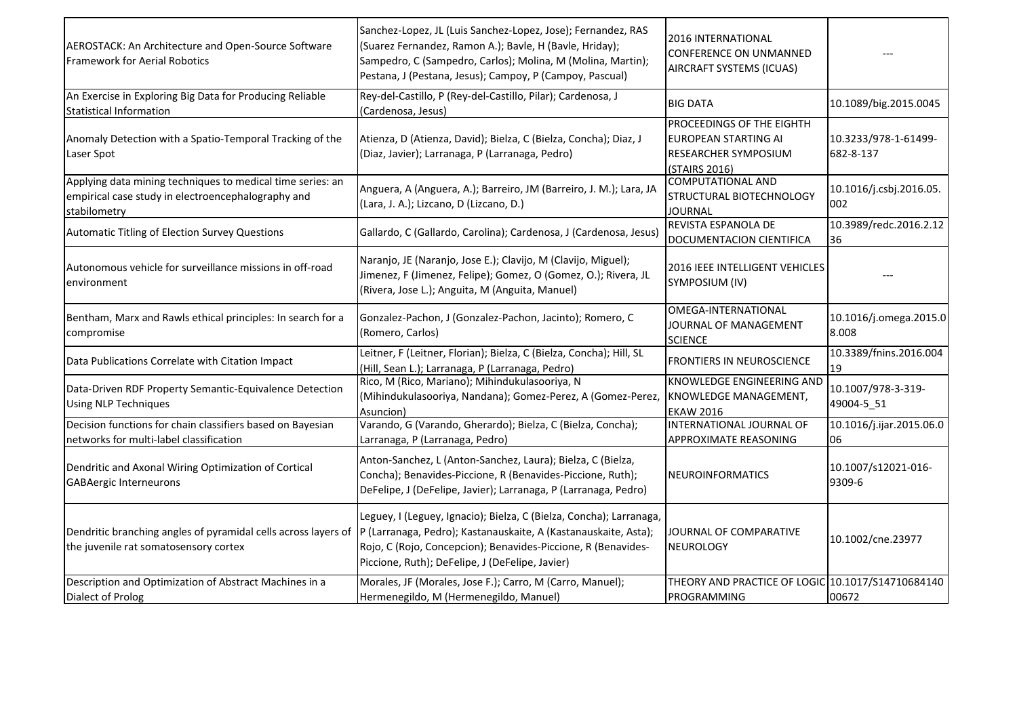| AEROSTACK: An Architecture and Open-Source Software<br><b>Framework for Aerial Robotics</b>                                      | Sanchez-Lopez, JL (Luis Sanchez-Lopez, Jose); Fernandez, RAS<br>(Suarez Fernandez, Ramon A.); Bavle, H (Bavle, Hriday);<br>Sampedro, C (Sampedro, Carlos); Molina, M (Molina, Martin);<br>Pestana, J (Pestana, Jesus); Campoy, P (Campoy, Pascual)         | 2016 INTERNATIONAL<br><b>CONFERENCE ON UNMANNED</b><br>AIRCRAFT SYSTEMS (ICUAS)                          |                                   |
|----------------------------------------------------------------------------------------------------------------------------------|------------------------------------------------------------------------------------------------------------------------------------------------------------------------------------------------------------------------------------------------------------|----------------------------------------------------------------------------------------------------------|-----------------------------------|
| An Exercise in Exploring Big Data for Producing Reliable<br><b>Statistical Information</b>                                       | Rey-del-Castillo, P (Rey-del-Castillo, Pilar); Cardenosa, J<br>(Cardenosa, Jesus)                                                                                                                                                                          | <b>BIG DATA</b>                                                                                          | 10.1089/big.2015.0045             |
| Anomaly Detection with a Spatio-Temporal Tracking of the<br>Laser Spot                                                           | Atienza, D (Atienza, David); Bielza, C (Bielza, Concha); Diaz, J<br>(Diaz, Javier); Larranaga, P (Larranaga, Pedro)                                                                                                                                        | PROCEEDINGS OF THE EIGHTH<br><b>EUROPEAN STARTING AI</b><br><b>RESEARCHER SYMPOSIUM</b><br>(STAIRS 2016) | 10.3233/978-1-61499-<br>682-8-137 |
| Applying data mining techniques to medical time series: an<br>empirical case study in electroencephalography and<br>stabilometry | Anguera, A (Anguera, A.); Barreiro, JM (Barreiro, J. M.); Lara, JA<br>(Lara, J. A.); Lizcano, D (Lizcano, D.)                                                                                                                                              | <b>COMPUTATIONAL AND</b><br>STRUCTURAL BIOTECHNOLOGY<br><b>JOURNAL</b>                                   | 10.1016/j.csbj.2016.05.<br>002    |
| Automatic Titling of Election Survey Questions                                                                                   | Gallardo, C (Gallardo, Carolina); Cardenosa, J (Cardenosa, Jesus)                                                                                                                                                                                          | REVISTA ESPANOLA DE<br>DOCUMENTACION CIENTIFICA                                                          | 10.3989/redc.2016.2.12<br>36      |
| Autonomous vehicle for surveillance missions in off-road<br>environment                                                          | Naranjo, JE (Naranjo, Jose E.); Clavijo, M (Clavijo, Miguel);<br>Jimenez, F (Jimenez, Felipe); Gomez, O (Gomez, O.); Rivera, JL<br>(Rivera, Jose L.); Anguita, M (Anguita, Manuel)                                                                         | 2016 IEEE INTELLIGENT VEHICLES<br>SYMPOSIUM (IV)                                                         |                                   |
| Bentham, Marx and Rawls ethical principles: In search for a<br>compromise                                                        | Gonzalez-Pachon, J (Gonzalez-Pachon, Jacinto); Romero, C<br>(Romero, Carlos)                                                                                                                                                                               | OMEGA-INTERNATIONAL<br>JOURNAL OF MANAGEMENT<br><b>SCIENCE</b>                                           | 10.1016/j.omega.2015.0<br>8.008   |
| Data Publications Correlate with Citation Impact                                                                                 | Leitner, F (Leitner, Florian); Bielza, C (Bielza, Concha); Hill, SL<br>(Hill, Sean L.); Larranaga, P (Larranaga, Pedro)                                                                                                                                    | FRONTIERS IN NEUROSCIENCE                                                                                | 10.3389/fnins.2016.004<br>19      |
| Data-Driven RDF Property Semantic-Equivalence Detection<br><b>Using NLP Techniques</b>                                           | Rico, M (Rico, Mariano); Mihindukulasooriya, N<br>(Mihindukulasooriya, Nandana); Gomez-Perez, A (Gomez-Perez,<br>Asuncion)                                                                                                                                 | <b>KNOWLEDGE ENGINEERING AND</b><br>KNOWLEDGE MANAGEMENT,<br><b>EKAW 2016</b>                            | 10.1007/978-3-319-<br>49004-5 51  |
| Decision functions for chain classifiers based on Bayesian<br>networks for multi-label classification                            | Varando, G (Varando, Gherardo); Bielza, C (Bielza, Concha);<br>Larranaga, P (Larranaga, Pedro)                                                                                                                                                             | INTERNATIONAL JOURNAL OF<br>APPROXIMATE REASONING                                                        | 10.1016/j.ijar.2015.06.0<br>06    |
| Dendritic and Axonal Wiring Optimization of Cortical<br><b>GABAergic Interneurons</b>                                            | Anton-Sanchez, L (Anton-Sanchez, Laura); Bielza, C (Bielza,<br>Concha); Benavides-Piccione, R (Benavides-Piccione, Ruth);<br>DeFelipe, J (DeFelipe, Javier); Larranaga, P (Larranaga, Pedro)                                                               | NEUROINFORMATICS                                                                                         | 10.1007/s12021-016-<br>9309-6     |
| Dendritic branching angles of pyramidal cells across layers of<br>the juvenile rat somatosensory cortex                          | Leguey, I (Leguey, Ignacio); Bielza, C (Bielza, Concha); Larranaga,<br>P (Larranaga, Pedro); Kastanauskaite, A (Kastanauskaite, Asta);<br>Rojo, C (Rojo, Concepcion); Benavides-Piccione, R (Benavides-<br>Piccione, Ruth); DeFelipe, J (DeFelipe, Javier) | JOURNAL OF COMPARATIVE<br><b>NEUROLOGY</b>                                                               | 10.1002/cne.23977                 |
| Description and Optimization of Abstract Machines in a<br>Dialect of Prolog                                                      | Morales, JF (Morales, Jose F.); Carro, M (Carro, Manuel);<br>Hermenegildo, M (Hermenegildo, Manuel)                                                                                                                                                        | THEORY AND PRACTICE OF LOGIC 10.1017/S14710684140<br>PROGRAMMING                                         | 00672                             |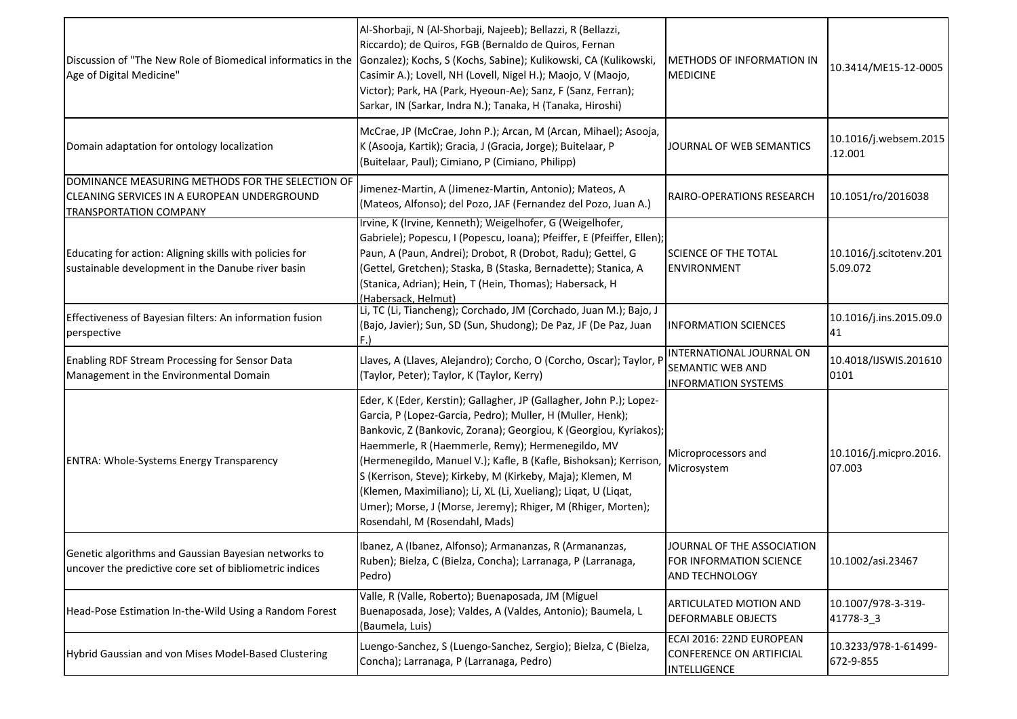| Discussion of "The New Role of Biomedical informatics in the<br>Age of Digital Medicine"                                         | Al-Shorbaji, N (Al-Shorbaji, Najeeb); Bellazzi, R (Bellazzi,<br>Riccardo); de Quiros, FGB (Bernaldo de Quiros, Fernan<br>Gonzalez); Kochs, S (Kochs, Sabine); Kulikowski, CA (Kulikowski,<br>Casimir A.); Lovell, NH (Lovell, Nigel H.); Maojo, V (Maojo,<br>Victor); Park, HA (Park, Hyeoun-Ae); Sanz, F (Sanz, Ferran);<br>Sarkar, IN (Sarkar, Indra N.); Tanaka, H (Tanaka, Hiroshi)                                                                                                                                                                           | <b>METHODS OF INFORMATION IN</b><br><b>MEDICINE</b>                            | 10.3414/ME15-12-0005                |
|----------------------------------------------------------------------------------------------------------------------------------|-------------------------------------------------------------------------------------------------------------------------------------------------------------------------------------------------------------------------------------------------------------------------------------------------------------------------------------------------------------------------------------------------------------------------------------------------------------------------------------------------------------------------------------------------------------------|--------------------------------------------------------------------------------|-------------------------------------|
| Domain adaptation for ontology localization                                                                                      | McCrae, JP (McCrae, John P.); Arcan, M (Arcan, Mihael); Asooja,<br>K (Asooja, Kartik); Gracia, J (Gracia, Jorge); Buitelaar, P<br>(Buitelaar, Paul); Cimiano, P (Cimiano, Philipp)                                                                                                                                                                                                                                                                                                                                                                                | JOURNAL OF WEB SEMANTICS                                                       | 10.1016/j.websem.2015<br>.12.001    |
| DOMINANCE MEASURING METHODS FOR THE SELECTION OF<br>CLEANING SERVICES IN A EUROPEAN UNDERGROUND<br><b>TRANSPORTATION COMPANY</b> | Jimenez-Martin, A (Jimenez-Martin, Antonio); Mateos, A<br>(Mateos, Alfonso); del Pozo, JAF (Fernandez del Pozo, Juan A.)                                                                                                                                                                                                                                                                                                                                                                                                                                          | RAIRO-OPERATIONS RESEARCH                                                      | 10.1051/ro/2016038                  |
| Educating for action: Aligning skills with policies for<br>sustainable development in the Danube river basin                     | Irvine, K (Irvine, Kenneth); Weigelhofer, G (Weigelhofer,<br>Gabriele); Popescu, I (Popescu, Ioana); Pfeiffer, E (Pfeiffer, Ellen);<br>Paun, A (Paun, Andrei); Drobot, R (Drobot, Radu); Gettel, G<br>(Gettel, Gretchen); Staska, B (Staska, Bernadette); Stanica, A<br>(Stanica, Adrian); Hein, T (Hein, Thomas); Habersack, H<br>(Habersack, Helmut)                                                                                                                                                                                                            | <b>SCIENCE OF THE TOTAL</b><br><b>ENVIRONMENT</b>                              | 10.1016/j.scitotenv.201<br>5.09.072 |
| Effectiveness of Bayesian filters: An information fusion<br>perspective                                                          | Li, TC (Li, Tiancheng); Corchado, JM (Corchado, Juan M.); Bajo, J<br>(Bajo, Javier); Sun, SD (Sun, Shudong); De Paz, JF (De Paz, Juan                                                                                                                                                                                                                                                                                                                                                                                                                             | <b>INFORMATION SCIENCES</b>                                                    | 10.1016/j.ins.2015.09.0<br>41       |
| Enabling RDF Stream Processing for Sensor Data<br>Management in the Environmental Domain                                         | Llaves, A (Llaves, Alejandro); Corcho, O (Corcho, Oscar); Taylor, I<br>(Taylor, Peter); Taylor, K (Taylor, Kerry)                                                                                                                                                                                                                                                                                                                                                                                                                                                 | INTERNATIONAL JOURNAL ON<br>SEMANTIC WEB AND<br><b>INFORMATION SYSTEMS</b>     | 10.4018/IJSWIS.201610<br>0101       |
| <b>ENTRA: Whole-Systems Energy Transparency</b>                                                                                  | Eder, K (Eder, Kerstin); Gallagher, JP (Gallagher, John P.); Lopez-<br>Garcia, P (Lopez-Garcia, Pedro); Muller, H (Muller, Henk);<br>Bankovic, Z (Bankovic, Zorana); Georgiou, K (Georgiou, Kyriakos);<br>Haemmerle, R (Haemmerle, Remy); Hermenegildo, MV<br>(Hermenegildo, Manuel V.); Kafle, B (Kafle, Bishoksan); Kerrison,<br>S (Kerrison, Steve); Kirkeby, M (Kirkeby, Maja); Klemen, M<br>(Klemen, Maximiliano); Li, XL (Li, Xueliang); Liqat, U (Liqat,<br>Umer); Morse, J (Morse, Jeremy); Rhiger, M (Rhiger, Morten);<br>Rosendahl, M (Rosendahl, Mads) | Microprocessors and<br>Microsystem                                             | 10.1016/j.micpro.2016.<br>07.003    |
| <b>I</b> Genetic algorithms and Gaussian Bavesian networks to<br>uncover the predictive core set of bibliometric indices         | Ibanez, A (Ibanez, Alfonso); Armananzas, R (Armananzas,<br>Ruben); Bielza, C (Bielza, Concha); Larranaga, P (Larranaga,<br>Pedro)                                                                                                                                                                                                                                                                                                                                                                                                                                 | JOURNAL OF THE ASSOCIATION<br>FOR INFORMATION SCIENCE<br><b>AND TECHNOLOGY</b> | 10.1002/asi.23467                   |
| Head-Pose Estimation In-the-Wild Using a Random Forest                                                                           | Valle, R (Valle, Roberto); Buenaposada, JM (Miguel<br>Buenaposada, Jose); Valdes, A (Valdes, Antonio); Baumela, L<br>(Baumela, Luis)                                                                                                                                                                                                                                                                                                                                                                                                                              | ARTICULATED MOTION AND<br><b>DEFORMABLE OBJECTS</b>                            | 10.1007/978-3-319-<br>41778-3 3     |
| Hybrid Gaussian and von Mises Model-Based Clustering                                                                             | Luengo-Sanchez, S (Luengo-Sanchez, Sergio); Bielza, C (Bielza,<br>Concha); Larranaga, P (Larranaga, Pedro)                                                                                                                                                                                                                                                                                                                                                                                                                                                        | ECAI 2016: 22ND EUROPEAN<br>CONFERENCE ON ARTIFICIAL<br>INTELLIGENCE           | 10.3233/978-1-61499-<br>672-9-855   |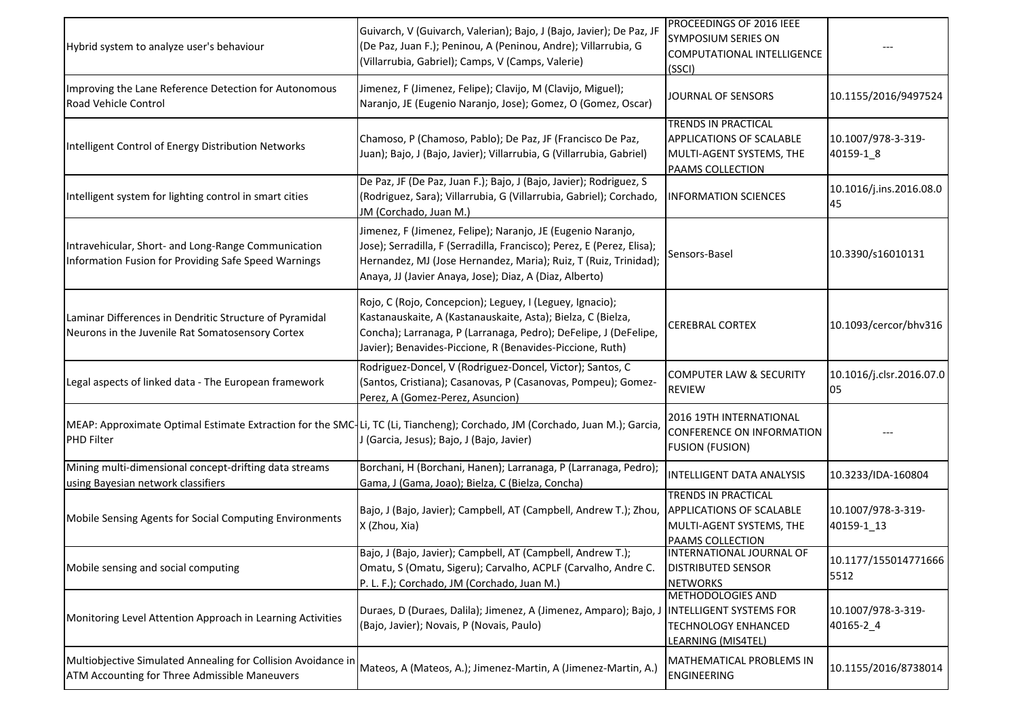| Hybrid system to analyze user's behaviour                                                                      | Guivarch, V (Guivarch, Valerian); Bajo, J (Bajo, Javier); De Paz, JF<br>(De Paz, Juan F.); Peninou, A (Peninou, Andre); Villarrubia, G<br>(Villarrubia, Gabriel); Camps, V (Camps, Valerie)                                                                          | <b>PROCEEDINGS OF 2016 IEEE</b><br>SYMPOSIUM SERIES ON<br><b>COMPUTATIONAL INTELLIGENCE</b><br>(SSCI)                 |                                  |
|----------------------------------------------------------------------------------------------------------------|----------------------------------------------------------------------------------------------------------------------------------------------------------------------------------------------------------------------------------------------------------------------|-----------------------------------------------------------------------------------------------------------------------|----------------------------------|
| Improving the Lane Reference Detection for Autonomous<br>Road Vehicle Control                                  | Jimenez, F (Jimenez, Felipe); Clavijo, M (Clavijo, Miguel);<br>Naranjo, JE (Eugenio Naranjo, Jose); Gomez, O (Gomez, Oscar)                                                                                                                                          | JOURNAL OF SENSORS                                                                                                    | 10.1155/2016/9497524             |
| Intelligent Control of Energy Distribution Networks                                                            | Chamoso, P (Chamoso, Pablo); De Paz, JF (Francisco De Paz,<br>Juan); Bajo, J (Bajo, Javier); Villarrubia, G (Villarrubia, Gabriel)                                                                                                                                   | <b>TRENDS IN PRACTICAL</b><br><b>APPLICATIONS OF SCALABLE</b><br>MULTI-AGENT SYSTEMS, THE<br><b>PAAMS COLLECTION</b>  | 10.1007/978-3-319-<br>40159-1_8  |
| Intelligent system for lighting control in smart cities                                                        | De Paz, JF (De Paz, Juan F.); Bajo, J (Bajo, Javier); Rodriguez, S<br>(Rodriguez, Sara); Villarrubia, G (Villarrubia, Gabriel); Corchado,<br>JM (Corchado, Juan M.)                                                                                                  | <b>INFORMATION SCIENCES</b>                                                                                           | 10.1016/j.ins.2016.08.0<br>45    |
| Intravehicular, Short- and Long-Range Communication<br>Information Fusion for Providing Safe Speed Warnings    | Jimenez, F (Jimenez, Felipe); Naranjo, JE (Eugenio Naranjo,<br>Jose); Serradilla, F (Serradilla, Francisco); Perez, E (Perez, Elisa);<br>Hernandez, MJ (Jose Hernandez, Maria); Ruiz, T (Ruiz, Trinidad);<br>Anaya, JJ (Javier Anaya, Jose); Diaz, A (Diaz, Alberto) | Sensors-Basel                                                                                                         | 10.3390/s16010131                |
| Laminar Differences in Dendritic Structure of Pyramidal<br>Neurons in the Juvenile Rat Somatosensory Cortex    | Rojo, C (Rojo, Concepcion); Leguey, I (Leguey, Ignacio);<br>Kastanauskaite, A (Kastanauskaite, Asta); Bielza, C (Bielza,<br>Concha); Larranaga, P (Larranaga, Pedro); DeFelipe, J (DeFelipe,<br>Javier); Benavides-Piccione, R (Benavides-Piccione, Ruth)            | <b>CEREBRAL CORTEX</b>                                                                                                | 10.1093/cercor/bhv316            |
| Legal aspects of linked data - The European framework                                                          | Rodriguez-Doncel, V (Rodriguez-Doncel, Victor); Santos, C<br>(Santos, Cristiana); Casanovas, P (Casanovas, Pompeu); Gomez-<br>Perez, A (Gomez-Perez, Asuncion)                                                                                                       | <b>COMPUTER LAW &amp; SECURITY</b><br><b>REVIEW</b>                                                                   | 10.1016/j.clsr.2016.07.0<br>05   |
| <b>PHD Filter</b>                                                                                              | MEAP: Approximate Optimal Estimate Extraction for the SMC-Li, TC (Li, Tiancheng); Corchado, JM (Corchado, Juan M.); Garcia,<br>J (Garcia, Jesus); Bajo, J (Bajo, Javier)                                                                                             | 2016 19TH INTERNATIONAL<br>CONFERENCE ON INFORMATION<br><b>FUSION (FUSION)</b>                                        |                                  |
| Mining multi-dimensional concept-drifting data streams<br>using Bayesian network classifiers                   | Borchani, H (Borchani, Hanen); Larranaga, P (Larranaga, Pedro);<br>Gama, J (Gama, Joao); Bielza, C (Bielza, Concha)                                                                                                                                                  | <b>INTELLIGENT DATA ANALYSIS</b>                                                                                      | 10.3233/IDA-160804               |
| Mobile Sensing Agents for Social Computing Environments                                                        | Bajo, J (Bajo, Javier); Campbell, AT (Campbell, Andrew T.); Zhou,<br>X (Zhou, Xia)                                                                                                                                                                                   | TRENDS IN PRACTICAL<br><b>APPLICATIONS OF SCALABLE</b><br>MULTI-AGENT SYSTEMS, THE<br>PAAMS COLLECTION                | 10.1007/978-3-319-<br>40159-1_13 |
| Mobile sensing and social computing                                                                            | Bajo, J (Bajo, Javier); Campbell, AT (Campbell, Andrew T.);<br>Omatu, S (Omatu, Sigeru); Carvalho, ACPLF (Carvalho, Andre C.<br>P. L. F.); Corchado, JM (Corchado, Juan M.)                                                                                          | INTERNATIONAL JOURNAL OF<br><b>DISTRIBUTED SENSOR</b><br><b>NETWORKS</b>                                              | 10.1177/155014771666<br>5512     |
| Monitoring Level Attention Approach in Learning Activities                                                     | Duraes, D (Duraes, Dalila); Jimenez, A (Jimenez, Amparo); Bajo, J<br>(Bajo, Javier); Novais, P (Novais, Paulo)                                                                                                                                                       | <b>METHODOLOGIES AND</b><br><b>INTELLIGENT SYSTEMS FOR</b><br><b>TECHNOLOGY ENHANCED</b><br><b>LEARNING (MIS4TEL)</b> | 10.1007/978-3-319-<br>40165-2 4  |
| Multiobjective Simulated Annealing for Collision Avoidance in<br>ATM Accounting for Three Admissible Maneuvers | Mateos, A (Mateos, A.); Jimenez-Martin, A (Jimenez-Martin, A.)                                                                                                                                                                                                       | MATHEMATICAL PROBLEMS IN<br><b>ENGINEERING</b>                                                                        | 10.1155/2016/8738014             |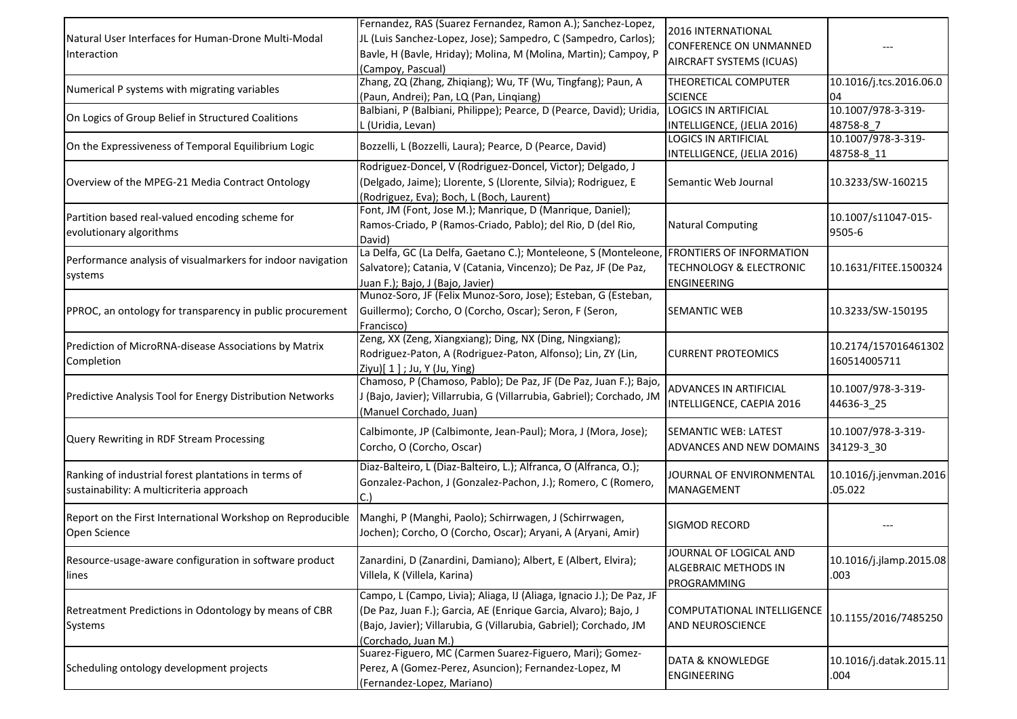| Natural User Interfaces for Human-Drone Multi-Modal<br>Interaction                               | Fernandez, RAS (Suarez Fernandez, Ramon A.); Sanchez-Lopez,<br>JL (Luis Sanchez-Lopez, Jose); Sampedro, C (Sampedro, Carlos);<br>Bavle, H (Bavle, Hriday); Molina, M (Molina, Martin); Campoy, P<br>(Campoy, Pascual)               | 2016 INTERNATIONAL<br>CONFERENCE ON UNMANNED<br><b>AIRCRAFT SYSTEMS (ICUAS)</b> |                                      |
|--------------------------------------------------------------------------------------------------|-------------------------------------------------------------------------------------------------------------------------------------------------------------------------------------------------------------------------------------|---------------------------------------------------------------------------------|--------------------------------------|
| Numerical P systems with migrating variables                                                     | Zhang, ZQ (Zhang, Zhiqiang); Wu, TF (Wu, Tingfang); Paun, A<br>(Paun, Andrei); Pan, LQ (Pan, Linqiang)                                                                                                                              | THEORETICAL COMPUTER<br><b>SCIENCE</b>                                          | 10.1016/j.tcs.2016.06.0<br>04        |
| On Logics of Group Belief in Structured Coalitions                                               | Balbiani, P (Balbiani, Philippe); Pearce, D (Pearce, David); Uridia,<br>L (Uridia, Levan)                                                                                                                                           | <b>LOGICS IN ARTIFICIAL</b><br>INTELLIGENCE, (JELIA 2016)                       | 10.1007/978-3-319-<br>48758-8 7      |
| On the Expressiveness of Temporal Equilibrium Logic                                              | Bozzelli, L (Bozzelli, Laura); Pearce, D (Pearce, David)                                                                                                                                                                            | <b>LOGICS IN ARTIFICIAL</b><br>INTELLIGENCE, (JELIA 2016)                       | 10.1007/978-3-319-<br>48758-8_11     |
| Overview of the MPEG-21 Media Contract Ontology                                                  | Rodriguez-Doncel, V (Rodriguez-Doncel, Victor); Delgado, J<br>(Delgado, Jaime); Llorente, S (Llorente, Silvia); Rodriguez, E<br>(Rodriguez, Eva); Boch, L (Boch, Laurent)                                                           | Semantic Web Journal                                                            | 10.3233/SW-160215                    |
| Partition based real-valued encoding scheme for<br>evolutionary algorithms                       | Font, JM (Font, Jose M.); Manrique, D (Manrique, Daniel);<br>Ramos-Criado, P (Ramos-Criado, Pablo); del Rio, D (del Rio,<br>David)                                                                                                  | <b>Natural Computing</b>                                                        | 10.1007/s11047-015-<br>9505-6        |
| Performance analysis of visualmarkers for indoor navigation<br>systems                           | La Delfa, GC (La Delfa, Gaetano C.); Monteleone, S (Monteleone, FRONTIERS OF INFORMATION<br>Salvatore); Catania, V (Catania, Vincenzo); De Paz, JF (De Paz,<br>Juan F.); Bajo, J (Bajo, Javier)                                     | <b>TECHNOLOGY &amp; ELECTRONIC</b><br><b>ENGINEERING</b>                        | 10.1631/FITEE.1500324                |
| PPROC, an ontology for transparency in public procurement                                        | Munoz-Soro, JF (Felix Munoz-Soro, Jose); Esteban, G (Esteban,<br>Guillermo); Corcho, O (Corcho, Oscar); Seron, F (Seron,<br>Francisco)                                                                                              | SEMANTIC WEB                                                                    | 10.3233/SW-150195                    |
| Prediction of MicroRNA-disease Associations by Matrix<br>Completion                              | Zeng, XX (Zeng, Xiangxiang); Ding, NX (Ding, Ningxiang);<br>Rodriguez-Paton, A (Rodriguez-Paton, Alfonso); Lin, ZY (Lin,<br>Ziyu)[ 1 ] ; Ju, Y (Ju, Ying)                                                                           | <b>CURRENT PROTEOMICS</b>                                                       | 10.2174/157016461302<br>160514005711 |
| Predictive Analysis Tool for Energy Distribution Networks                                        | Chamoso, P (Chamoso, Pablo); De Paz, JF (De Paz, Juan F.); Bajo,<br>J (Bajo, Javier); Villarrubia, G (Villarrubia, Gabriel); Corchado, JM<br>(Manuel Corchado, Juan)                                                                | ADVANCES IN ARTIFICIAL<br>INTELLIGENCE, CAEPIA 2016                             | 10.1007/978-3-319-<br>44636-3 25     |
| Query Rewriting in RDF Stream Processing                                                         | Calbimonte, JP (Calbimonte, Jean-Paul); Mora, J (Mora, Jose);<br>Corcho, O (Corcho, Oscar)                                                                                                                                          | SEMANTIC WEB: LATEST<br>ADVANCES AND NEW DOMAINS                                | 10.1007/978-3-319-<br>34129-3_30     |
| Ranking of industrial forest plantations in terms of<br>sustainability: A multicriteria approach | Diaz-Balteiro, L (Diaz-Balteiro, L.); Alfranca, O (Alfranca, O.);<br>Gonzalez-Pachon, J (Gonzalez-Pachon, J.); Romero, C (Romero,<br>C.                                                                                             | JOURNAL OF ENVIRONMENTAL<br>MANAGEMENT                                          | 10.1016/j.jenvman.2016<br>.05.022    |
| Report on the First International Workshop on Reproducible<br>Open Science                       | Manghi, P (Manghi, Paolo); Schirrwagen, J (Schirrwagen,<br>Jochen); Corcho, O (Corcho, Oscar); Aryani, A (Aryani, Amir)                                                                                                             | SIGMOD RECORD                                                                   |                                      |
| Resource-usage-aware configuration in software product<br>lines                                  | Zanardini, D (Zanardini, Damiano); Albert, E (Albert, Elvira);<br>Villela, K (Villela, Karina)                                                                                                                                      | JOURNAL OF LOGICAL AND<br>ALGEBRAIC METHODS IN<br>PROGRAMMING                   | $10.1016$ /j.jlamp.2015.08<br>.003   |
| Retreatment Predictions in Odontology by means of CBR<br>Systems                                 | Campo, L (Campo, Livia); Aliaga, IJ (Aliaga, Ignacio J.); De Paz, JF<br>(De Paz, Juan F.); Garcia, AE (Enrique Garcia, Alvaro); Bajo, J<br>(Bajo, Javier); Villarubia, G (Villarubia, Gabriel); Corchado, JM<br>(Corchado, Juan M.) | COMPUTATIONAL INTELLIGENCE<br>AND NEUROSCIENCE                                  | 10.1155/2016/7485250                 |
| Scheduling ontology development projects                                                         | Suarez-Figuero, MC (Carmen Suarez-Figuero, Mari); Gomez-<br>Perez, A (Gomez-Perez, Asuncion); Fernandez-Lopez, M<br>(Fernandez-Lopez, Mariano)                                                                                      | DATA & KNOWLEDGE<br>ENGINEERING                                                 | 10.1016/j.datak.2015.11<br>.004      |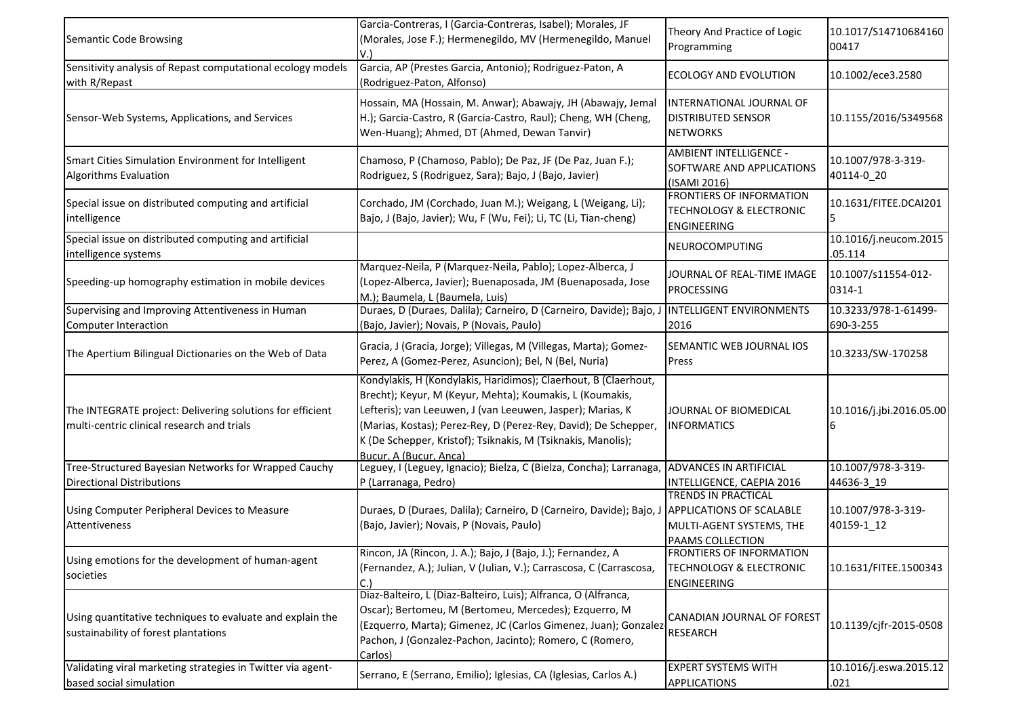| Semantic Code Browsing                                                                                  | Garcia-Contreras, I (Garcia-Contreras, Isabel); Morales, JF<br>(Morales, Jose F.); Hermenegildo, MV (Hermenegildo, Manuel<br>V.)                                                                                                                                                                                                                       | Theory And Practice of Logic<br>Programming                                                            | 10.1017/S14710684160<br>00417     |
|---------------------------------------------------------------------------------------------------------|--------------------------------------------------------------------------------------------------------------------------------------------------------------------------------------------------------------------------------------------------------------------------------------------------------------------------------------------------------|--------------------------------------------------------------------------------------------------------|-----------------------------------|
| Sensitivity analysis of Repast computational ecology models<br>with R/Repast                            | Garcia, AP (Prestes Garcia, Antonio); Rodriguez-Paton, A<br>(Rodriguez-Paton, Alfonso)                                                                                                                                                                                                                                                                 | ECOLOGY AND EVOLUTION                                                                                  | 10.1002/ece3.2580                 |
| Sensor-Web Systems, Applications, and Services                                                          | Hossain, MA (Hossain, M. Anwar); Abawajy, JH (Abawajy, Jemal<br>H.); Garcia-Castro, R (Garcia-Castro, Raul); Cheng, WH (Cheng,<br>Wen-Huang); Ahmed, DT (Ahmed, Dewan Tanvir)                                                                                                                                                                          | INTERNATIONAL JOURNAL OF<br><b>DISTRIBUTED SENSOR</b><br><b>NETWORKS</b>                               | 10.1155/2016/5349568              |
| Smart Cities Simulation Environment for Intelligent<br>Algorithms Evaluation                            | Chamoso, P (Chamoso, Pablo); De Paz, JF (De Paz, Juan F.);<br>Rodriguez, S (Rodriguez, Sara); Bajo, J (Bajo, Javier)                                                                                                                                                                                                                                   | AMBIENT INTELLIGENCE -<br>SOFTWARE AND APPLICATIONS<br>(ISAMI 2016)                                    | 10.1007/978-3-319-<br>40114-0 20  |
| Special issue on distributed computing and artificial<br>intelligence                                   | Corchado, JM (Corchado, Juan M.); Weigang, L (Weigang, Li);<br>Bajo, J (Bajo, Javier); Wu, F (Wu, Fei); Li, TC (Li, Tian-cheng)                                                                                                                                                                                                                        | <b>FRONTIERS OF INFORMATION</b><br><b>TECHNOLOGY &amp; ELECTRONIC</b><br>ENGINEERING                   | 10.1631/FITEE.DCAI201             |
| Special issue on distributed computing and artificial<br>intelligence systems                           |                                                                                                                                                                                                                                                                                                                                                        | NEUROCOMPUTING                                                                                         | 10.1016/j.neucom.2015<br>.05.114  |
| Speeding-up homography estimation in mobile devices                                                     | Marquez-Neila, P (Marquez-Neila, Pablo); Lopez-Alberca, J<br>(Lopez-Alberca, Javier); Buenaposada, JM (Buenaposada, Jose<br>M.); Baumela, L (Baumela, Luis)                                                                                                                                                                                            | JOURNAL OF REAL-TIME IMAGE<br><b>PROCESSING</b>                                                        | 10.1007/s11554-012-<br>0314-1     |
| Supervising and Improving Attentiveness in Human<br><b>Computer Interaction</b>                         | Duraes, D (Duraes, Dalila); Carneiro, D (Carneiro, Davide); Bajo,<br>(Bajo, Javier); Novais, P (Novais, Paulo)                                                                                                                                                                                                                                         | <b>INTELLIGENT ENVIRONMENTS</b><br>2016                                                                | 10.3233/978-1-61499-<br>690-3-255 |
| The Apertium Bilingual Dictionaries on the Web of Data                                                  | Gracia, J (Gracia, Jorge); Villegas, M (Villegas, Marta); Gomez-<br>Perez, A (Gomez-Perez, Asuncion); Bel, N (Bel, Nuria)                                                                                                                                                                                                                              | SEMANTIC WEB JOURNAL IOS<br>Press                                                                      | 10.3233/SW-170258                 |
| The INTEGRATE project: Delivering solutions for efficient<br>multi-centric clinical research and trials | Kondylakis, H (Kondylakis, Haridimos); Claerhout, B (Claerhout,<br>Brecht); Keyur, M (Keyur, Mehta); Koumakis, L (Koumakis,<br>Lefteris); van Leeuwen, J (van Leeuwen, Jasper); Marias, K<br>(Marias, Kostas); Perez-Rey, D (Perez-Rey, David); De Schepper,<br>K (De Schepper, Kristof); Tsiknakis, M (Tsiknakis, Manolis);<br>Bucur. A (Bucur. Anca) | JOURNAL OF BIOMEDICAL<br><b>INFORMATICS</b>                                                            | 10.1016/j.jbi.2016.05.00<br>6     |
| Tree-Structured Bayesian Networks for Wrapped Cauchy<br><b>Directional Distributions</b>                | Leguey, I (Leguey, Ignacio); Bielza, C (Bielza, Concha); Larranaga,<br>P (Larranaga, Pedro)                                                                                                                                                                                                                                                            | <b>ADVANCES IN ARTIFICIAL</b><br>INTELLIGENCE, CAEPIA 2016                                             | 10.1007/978-3-319-<br>44636-3 19  |
| Using Computer Peripheral Devices to Measure<br>Attentiveness                                           | Duraes, D (Duraes, Dalila); Carneiro, D (Carneiro, Davide); Bajo, J<br>(Bajo, Javier); Novais, P (Novais, Paulo)                                                                                                                                                                                                                                       | TRENDS IN PRACTICAL<br><b>APPLICATIONS OF SCALABLE</b><br>MULTI-AGENT SYSTEMS, THE<br>PAAMS COLLECTION | 10.1007/978-3-319-<br>40159-1_12  |
| Using emotions for the development of human-agent<br>societies                                          | Rincon, JA (Rincon, J. A.); Bajo, J (Bajo, J.); Fernandez, A<br>(Fernandez, A.); Julian, V (Julian, V.); Carrascosa, C (Carrascosa,                                                                                                                                                                                                                    | FRONTIERS OF INFORMATION<br><b>TECHNOLOGY &amp; ELECTRONIC</b><br>ENGINEERING                          | 10.1631/FITEE.1500343             |
| Using quantitative techniques to evaluate and explain the<br>sustainability of forest plantations       | Diaz-Balteiro, L (Diaz-Balteiro, Luis); Alfranca, O (Alfranca,<br>Oscar); Bertomeu, M (Bertomeu, Mercedes); Ezquerro, M<br>(Ezquerro, Marta); Gimenez, JC (Carlos Gimenez, Juan); Gonzalez-<br>Pachon, J (Gonzalez-Pachon, Jacinto); Romero, C (Romero,<br>Carlos)                                                                                     | CANADIAN JOURNAL OF FOREST<br><b>RESEARCH</b>                                                          | 10.1139/cjfr-2015-0508            |
| Validating viral marketing strategies in Twitter via agent-<br>based social simulation                  | Serrano, E (Serrano, Emilio); Iglesias, CA (Iglesias, Carlos A.)                                                                                                                                                                                                                                                                                       | <b>EXPERT SYSTEMS WITH</b><br><b>APPLICATIONS</b>                                                      | 10.1016/j.eswa.2015.12<br>.021    |